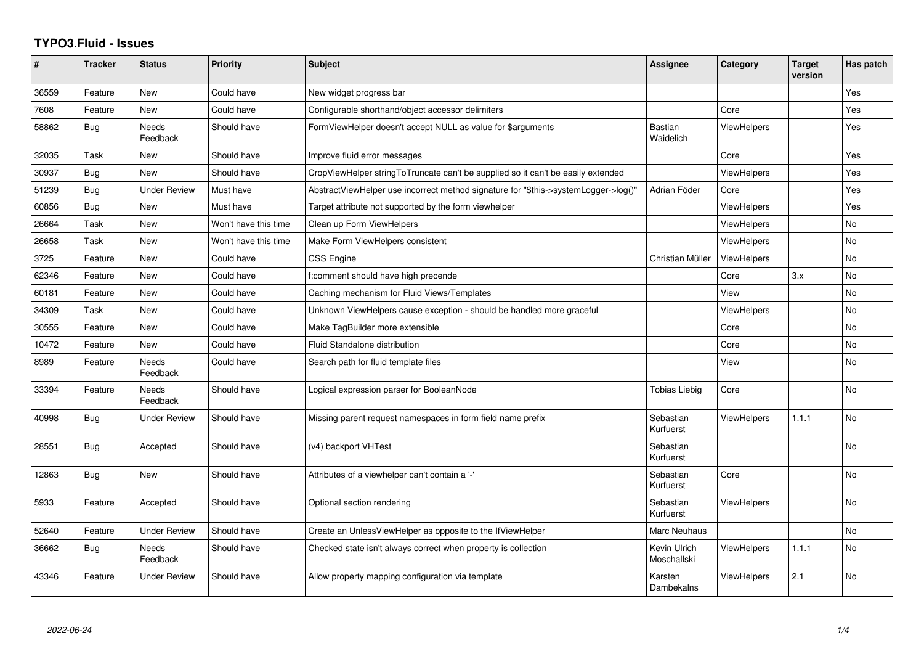## **TYPO3.Fluid - Issues**

| #     | <b>Tracker</b> | <b>Status</b>     | Priority             | <b>Subject</b>                                                                      | Assignee                    | Category           | <b>Target</b><br>version | Has patch |
|-------|----------------|-------------------|----------------------|-------------------------------------------------------------------------------------|-----------------------------|--------------------|--------------------------|-----------|
| 36559 | Feature        | New               | Could have           | New widget progress bar                                                             |                             |                    |                          | Yes       |
| 7608  | Feature        | New               | Could have           | Configurable shorthand/object accessor delimiters                                   |                             | Core               |                          | Yes       |
| 58862 | <b>Bug</b>     | Needs<br>Feedback | Should have          | FormViewHelper doesn't accept NULL as value for \$arguments                         | <b>Bastian</b><br>Waidelich | <b>ViewHelpers</b> |                          | Yes       |
| 32035 | Task           | New               | Should have          | Improve fluid error messages                                                        |                             | Core               |                          | Yes       |
| 30937 | Bug            | New               | Should have          | CropViewHelper stringToTruncate can't be supplied so it can't be easily extended    |                             | <b>ViewHelpers</b> |                          | Yes       |
| 51239 | Bug            | Under Review      | Must have            | AbstractViewHelper use incorrect method signature for "\$this->systemLogger->log()" | Adrian Föder                | Core               |                          | Yes       |
| 60856 | Bug            | New               | Must have            | Target attribute not supported by the form viewhelper                               |                             | <b>ViewHelpers</b> |                          | Yes       |
| 26664 | Task           | New               | Won't have this time | Clean up Form ViewHelpers                                                           |                             | ViewHelpers        |                          | No        |
| 26658 | Task           | New               | Won't have this time | Make Form ViewHelpers consistent                                                    |                             | ViewHelpers        |                          | No        |
| 3725  | Feature        | New               | Could have           | CSS Engine                                                                          | Christian Müller            | ViewHelpers        |                          | No        |
| 62346 | Feature        | New               | Could have           | f:comment should have high precende                                                 |                             | Core               | 3.x                      | No        |
| 60181 | Feature        | <b>New</b>        | Could have           | Caching mechanism for Fluid Views/Templates                                         |                             | View               |                          | <b>No</b> |
| 34309 | Task           | New               | Could have           | Unknown ViewHelpers cause exception - should be handled more graceful               |                             | <b>ViewHelpers</b> |                          | No        |
| 30555 | Feature        | New               | Could have           | Make TagBuilder more extensible                                                     |                             | Core               |                          | <b>No</b> |
| 10472 | Feature        | New               | Could have           | Fluid Standalone distribution                                                       |                             | Core               |                          | No        |
| 8989  | Feature        | Needs<br>Feedback | Could have           | Search path for fluid template files                                                |                             | View               |                          | No        |
| 33394 | Feature        | Needs<br>Feedback | Should have          | Logical expression parser for BooleanNode                                           | <b>Tobias Liebig</b>        | Core               |                          | No        |
| 40998 | <b>Bug</b>     | Under Review      | Should have          | Missing parent request namespaces in form field name prefix                         | Sebastian<br>Kurfuerst      | <b>ViewHelpers</b> | 1.1.1                    | <b>No</b> |
| 28551 | <b>Bug</b>     | Accepted          | Should have          | (v4) backport VHTest                                                                | Sebastian<br>Kurfuerst      |                    |                          | <b>No</b> |
| 12863 | <b>Bug</b>     | New               | Should have          | Attributes of a viewhelper can't contain a '-'                                      | Sebastian<br>Kurfuerst      | Core               |                          | <b>No</b> |
| 5933  | Feature        | Accepted          | Should have          | Optional section rendering                                                          | Sebastian<br>Kurfuerst      | <b>ViewHelpers</b> |                          | No        |
| 52640 | Feature        | Under Review      | Should have          | Create an UnlessViewHelper as opposite to the IfViewHelper                          | Marc Neuhaus                |                    |                          | <b>No</b> |
| 36662 | <b>Bug</b>     | Needs<br>Feedback | Should have          | Checked state isn't always correct when property is collection                      | Kevin Ulrich<br>Moschallski | <b>ViewHelpers</b> | 1.1.1                    | No        |
| 43346 | Feature        | Under Review      | Should have          | Allow property mapping configuration via template                                   | Karsten<br>Dambekalns       | ViewHelpers        | 2.1                      | <b>No</b> |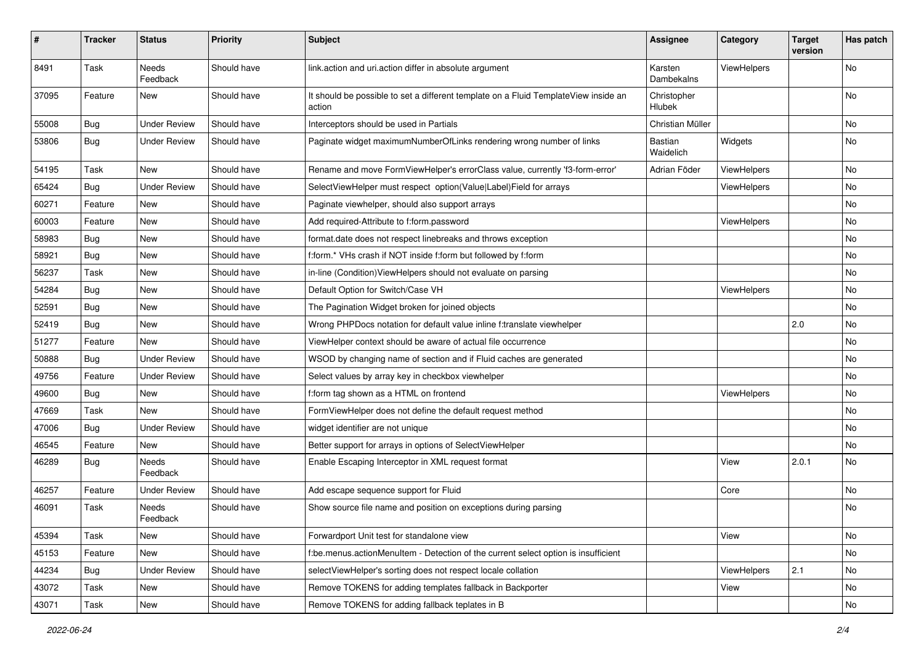| $\pmb{\#}$ | <b>Tracker</b> | <b>Status</b>            | <b>Priority</b> | <b>Subject</b>                                                                                | <b>Assignee</b>       | Category    | <b>Target</b><br>version | Has patch |
|------------|----------------|--------------------------|-----------------|-----------------------------------------------------------------------------------------------|-----------------------|-------------|--------------------------|-----------|
| 8491       | Task           | <b>Needs</b><br>Feedback | Should have     | link.action and uri.action differ in absolute argument                                        | Karsten<br>Dambekalns | ViewHelpers |                          | <b>No</b> |
| 37095      | Feature        | New                      | Should have     | It should be possible to set a different template on a Fluid TemplateView inside an<br>action | Christopher<br>Hlubek |             |                          | No        |
| 55008      | Bug            | <b>Under Review</b>      | Should have     | Interceptors should be used in Partials                                                       | Christian Müller      |             |                          | No        |
| 53806      | Bug            | <b>Under Review</b>      | Should have     | Paginate widget maximumNumberOfLinks rendering wrong number of links                          | Bastian<br>Waidelich  | Widgets     |                          | No        |
| 54195      | Task           | <b>New</b>               | Should have     | Rename and move FormViewHelper's errorClass value, currently 'f3-form-error'                  | Adrian Föder          | ViewHelpers |                          | No.       |
| 65424      | Bug            | <b>Under Review</b>      | Should have     | SelectViewHelper must respect option(Value Label)Field for arrays                             |                       | ViewHelpers |                          | No        |
| 60271      | Feature        | New                      | Should have     | Paginate viewhelper, should also support arrays                                               |                       |             |                          | No        |
| 60003      | Feature        | New                      | Should have     | Add required-Attribute to f:form.password                                                     |                       | ViewHelpers |                          | No        |
| 58983      | Bug            | New                      | Should have     | format.date does not respect linebreaks and throws exception                                  |                       |             |                          | No        |
| 58921      | Bug            | New                      | Should have     | f:form.* VHs crash if NOT inside f:form but followed by f:form                                |                       |             |                          | No        |
| 56237      | Task           | <b>New</b>               | Should have     | in-line (Condition) View Helpers should not evaluate on parsing                               |                       |             |                          | No.       |
| 54284      | Bug            | New                      | Should have     | Default Option for Switch/Case VH                                                             |                       | ViewHelpers |                          | No        |
| 52591      | Bug            | New                      | Should have     | The Pagination Widget broken for joined objects                                               |                       |             |                          | No        |
| 52419      | Bug            | New                      | Should have     | Wrong PHPDocs notation for default value inline f:translate viewhelper                        |                       |             | 2.0                      | No        |
| 51277      | Feature        | New                      | Should have     | ViewHelper context should be aware of actual file occurrence                                  |                       |             |                          | No        |
| 50888      | Bug            | <b>Under Review</b>      | Should have     | WSOD by changing name of section and if Fluid caches are generated                            |                       |             |                          | No.       |
| 49756      | Feature        | <b>Under Review</b>      | Should have     | Select values by array key in checkbox viewhelper                                             |                       |             |                          | No        |
| 49600      | Bug            | New                      | Should have     | f:form tag shown as a HTML on frontend                                                        |                       | ViewHelpers |                          | No        |
| 47669      | Task           | New                      | Should have     | FormViewHelper does not define the default request method                                     |                       |             |                          | No        |
| 47006      | Bug            | <b>Under Review</b>      | Should have     | widget identifier are not unique                                                              |                       |             |                          | No        |
| 46545      | Feature        | New                      | Should have     | Better support for arrays in options of SelectViewHelper                                      |                       |             |                          | No        |
| 46289      | Bug            | Needs<br>Feedback        | Should have     | Enable Escaping Interceptor in XML request format                                             |                       | View        | 2.0.1                    | No        |
| 46257      | Feature        | <b>Under Review</b>      | Should have     | Add escape sequence support for Fluid                                                         |                       | Core        |                          | No.       |
| 46091      | Task           | Needs<br>Feedback        | Should have     | Show source file name and position on exceptions during parsing                               |                       |             |                          | No        |
| 45394      | Task           | New                      | Should have     | Forwardport Unit test for standalone view                                                     |                       | View        |                          | No        |
| 45153      | Feature        | New                      | Should have     | f:be.menus.actionMenuItem - Detection of the current select option is insufficient            |                       |             |                          | No        |
| 44234      | Bug            | <b>Under Review</b>      | Should have     | selectViewHelper's sorting does not respect locale collation                                  |                       | ViewHelpers | 2.1                      | No        |
| 43072      | Task           | New                      | Should have     | Remove TOKENS for adding templates fallback in Backporter                                     |                       | View        |                          | No        |
| 43071      | Task           | New                      | Should have     | Remove TOKENS for adding fallback teplates in B                                               |                       |             |                          | No        |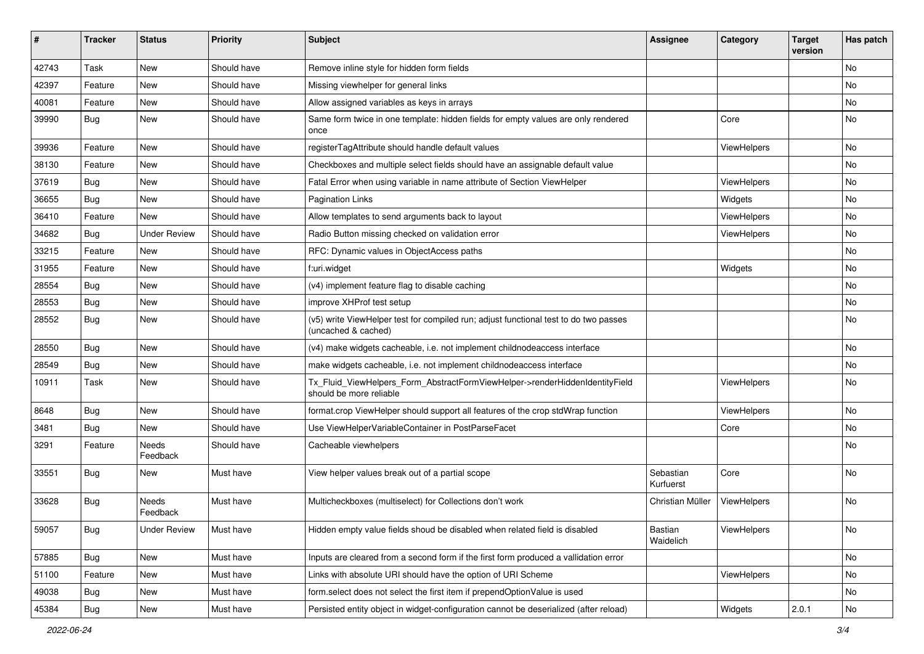| #     | <b>Tracker</b> | <b>Status</b>       | <b>Priority</b> | <b>Subject</b>                                                                                              | Assignee               | Category    | <b>Target</b><br>version | Has patch |
|-------|----------------|---------------------|-----------------|-------------------------------------------------------------------------------------------------------------|------------------------|-------------|--------------------------|-----------|
| 42743 | Task           | <b>New</b>          | Should have     | Remove inline style for hidden form fields                                                                  |                        |             |                          | <b>No</b> |
| 42397 | Feature        | New                 | Should have     | Missing viewhelper for general links                                                                        |                        |             |                          | No        |
| 40081 | Feature        | New                 | Should have     | Allow assigned variables as keys in arrays                                                                  |                        |             |                          | No.       |
| 39990 | Bug            | New                 | Should have     | Same form twice in one template: hidden fields for empty values are only rendered<br>once                   |                        | Core        |                          | No        |
| 39936 | Feature        | New                 | Should have     | registerTagAttribute should handle default values                                                           |                        | ViewHelpers |                          | No        |
| 38130 | Feature        | New                 | Should have     | Checkboxes and multiple select fields should have an assignable default value                               |                        |             |                          | No        |
| 37619 | Bug            | New                 | Should have     | Fatal Error when using variable in name attribute of Section ViewHelper                                     |                        | ViewHelpers |                          | No        |
| 36655 | Bug            | New                 | Should have     | <b>Pagination Links</b>                                                                                     |                        | Widgets     |                          | No        |
| 36410 | Feature        | New                 | Should have     | Allow templates to send arguments back to layout                                                            |                        | ViewHelpers |                          | No        |
| 34682 | Bug            | <b>Under Review</b> | Should have     | Radio Button missing checked on validation error                                                            |                        | ViewHelpers |                          | No        |
| 33215 | Feature        | New                 | Should have     | RFC: Dynamic values in ObjectAccess paths                                                                   |                        |             |                          | No        |
| 31955 | Feature        | New                 | Should have     | f:uri.widget                                                                                                |                        | Widgets     |                          | No        |
| 28554 | Bug            | New                 | Should have     | (v4) implement feature flag to disable caching                                                              |                        |             |                          | No        |
| 28553 | Bug            | New                 | Should have     | improve XHProf test setup                                                                                   |                        |             |                          | No.       |
| 28552 | Bug            | New                 | Should have     | (v5) write ViewHelper test for compiled run; adjust functional test to do two passes<br>(uncached & cached) |                        |             |                          | No        |
| 28550 | Bug            | New                 | Should have     | (v4) make widgets cacheable, i.e. not implement childnodeaccess interface                                   |                        |             |                          | No        |
| 28549 | Bug            | <b>New</b>          | Should have     | make widgets cacheable, i.e. not implement childnodeaccess interface                                        |                        |             |                          | No.       |
| 10911 | Task           | New                 | Should have     | Tx_Fluid_ViewHelpers_Form_AbstractFormViewHelper->renderHiddenIdentityField<br>should be more reliable      |                        | ViewHelpers |                          | No        |
| 8648  | Bug            | New                 | Should have     | format.crop ViewHelper should support all features of the crop stdWrap function                             |                        | ViewHelpers |                          | No        |
| 3481  | Bug            | New                 | Should have     | Use ViewHelperVariableContainer in PostParseFacet                                                           |                        | Core        |                          | No        |
| 3291  | Feature        | Needs<br>Feedback   | Should have     | Cacheable viewhelpers                                                                                       |                        |             |                          | No.       |
| 33551 | Bug            | New                 | Must have       | View helper values break out of a partial scope                                                             | Sebastian<br>Kurfuerst | Core        |                          | No        |
| 33628 | <b>Bug</b>     | Needs<br>Feedback   | Must have       | Multicheckboxes (multiselect) for Collections don't work                                                    | Christian Müller       | ViewHelpers |                          | No        |
| 59057 | Bug            | <b>Under Review</b> | Must have       | Hidden empty value fields shoud be disabled when related field is disabled                                  | Bastian<br>Waidelich   | ViewHelpers |                          | No        |
| 57885 | Bug            | New                 | Must have       | Inputs are cleared from a second form if the first form produced a vallidation error                        |                        |             |                          | No        |
| 51100 | Feature        | New                 | Must have       | Links with absolute URI should have the option of URI Scheme                                                |                        | ViewHelpers |                          | No        |
| 49038 | <b>Bug</b>     | New                 | Must have       | form.select does not select the first item if prependOptionValue is used                                    |                        |             |                          | No        |
| 45384 | <b>Bug</b>     | New                 | Must have       | Persisted entity object in widget-configuration cannot be deserialized (after reload)                       |                        | Widgets     | 2.0.1                    | No        |